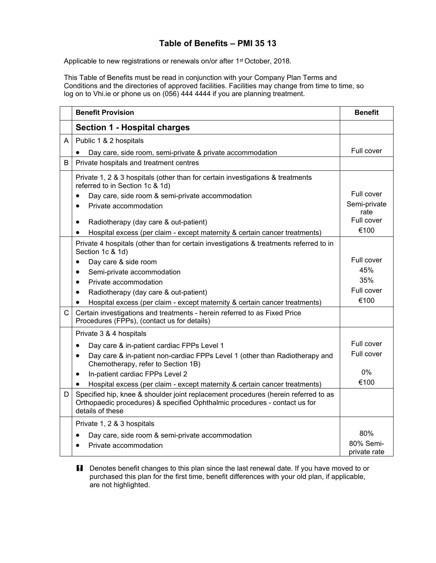## **Table of Benefits – PMI 35 13**

Applicable to new registrations or renewals on/or after 1<sup>st</sup> October, 2018.

This Table of Benefits must be read in conjunction with your Company Plan Terms and Conditions and the directories of approved facilities. Facilities may change from time to time, so log on to Vhi.ie or phone us on (056) 444 4444 if you are planning treatment.

|              | <b>Benefit Provision</b>                                                                                                                                                             | <b>Benefit</b>       |
|--------------|--------------------------------------------------------------------------------------------------------------------------------------------------------------------------------------|----------------------|
|              | <b>Section 1 - Hospital charges</b>                                                                                                                                                  |                      |
| A            | Public 1 & 2 hospitals                                                                                                                                                               |                      |
|              | Day care, side room, semi-private & private accommodation                                                                                                                            | Full cover           |
| B            | Private hospitals and treatment centres                                                                                                                                              |                      |
|              | Private 1, 2 & 3 hospitals (other than for certain investigations & treatments<br>referred to in Section 1c & 1d)                                                                    |                      |
|              | Day care, side room & semi-private accommodation                                                                                                                                     | Full cover           |
|              | Private accommodation<br>$\bullet$                                                                                                                                                   | Semi-private<br>rate |
|              | Radiotherapy (day care & out-patient)<br>$\bullet$                                                                                                                                   | Full cover           |
|              | Hospital excess (per claim - except maternity & certain cancer treatments)<br>٠                                                                                                      | €100                 |
|              | Private 4 hospitals (other than for certain investigations & treatments referred to in<br>Section 1c & 1d)                                                                           |                      |
|              | Day care & side room<br>$\bullet$                                                                                                                                                    | Full cover           |
|              | Semi-private accommodation<br>$\bullet$                                                                                                                                              | 45%                  |
|              | Private accommodation<br>$\bullet$                                                                                                                                                   | 35%                  |
|              | Radiotherapy (day care & out-patient)<br>$\bullet$                                                                                                                                   | Full cover           |
|              | Hospital excess (per claim - except maternity & certain cancer treatments)                                                                                                           | €100                 |
| $\mathsf{C}$ | Certain investigations and treatments - herein referred to as Fixed Price<br>Procedures (FPPs), (contact us for details)                                                             |                      |
|              | Private 3 & 4 hospitals                                                                                                                                                              |                      |
|              | Day care & in-patient cardiac FPPs Level 1<br>$\bullet$                                                                                                                              | Full cover           |
|              | Day care & in-patient non-cardiac FPPs Level 1 (other than Radiotherapy and<br>$\bullet$<br>Chemotherapy, refer to Section 1B)                                                       | Full cover           |
|              | In-patient cardiac FPPs Level 2<br>$\bullet$                                                                                                                                         | 0%                   |
|              | Hospital excess (per claim - except maternity & certain cancer treatments)                                                                                                           | €100                 |
| D            | Specified hip, knee & shoulder joint replacement procedures (herein referred to as<br>Orthopaedic procedures) & specified Ophthalmic procedures - contact us for<br>details of these |                      |
|              | Private 1, 2 & 3 hospitals                                                                                                                                                           |                      |
|              | Day care, side room & semi-private accommodation                                                                                                                                     | 80%                  |
|              | Private accommodation                                                                                                                                                                | 80% Semi-            |
|              |                                                                                                                                                                                      | private rate         |

**H** Denotes benefit changes to this plan since the last renewal date. If you have moved to or purchased this plan for the first time, benefit differences with your old plan, if applicable, are not highlighted.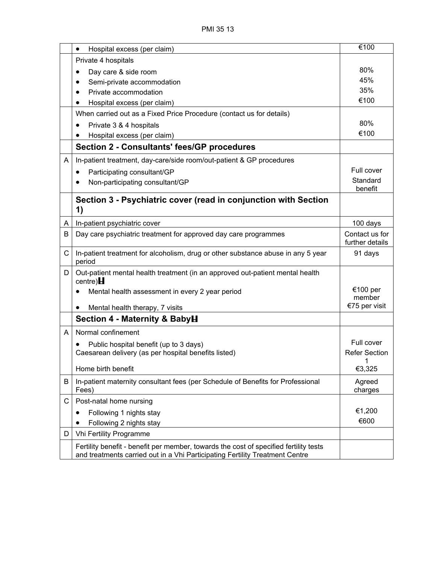|   | Hospital excess (per claim)<br>$\bullet$                                                     | €100                               |
|---|----------------------------------------------------------------------------------------------|------------------------------------|
|   | Private 4 hospitals                                                                          |                                    |
|   |                                                                                              | 80%                                |
|   | Day care & side room                                                                         | 45%                                |
|   | Semi-private accommodation<br>Private accommodation                                          | 35%                                |
|   | Hospital excess (per claim)                                                                  | €100                               |
|   | When carried out as a Fixed Price Procedure (contact us for details)                         |                                    |
|   |                                                                                              | 80%                                |
|   | Private 3 & 4 hospitals<br>$\bullet$                                                         | €100                               |
|   | Hospital excess (per claim)                                                                  |                                    |
|   | <b>Section 2 - Consultants' fees/GP procedures</b>                                           |                                    |
| A | In-patient treatment, day-care/side room/out-patient & GP procedures                         |                                    |
|   | Participating consultant/GP<br>$\bullet$                                                     | Full cover                         |
|   | Non-participating consultant/GP                                                              | Standard<br>benefit                |
|   | Section 3 - Psychiatric cover (read in conjunction with Section                              |                                    |
|   | 1)                                                                                           |                                    |
| A | In-patient psychiatric cover                                                                 | 100 days                           |
| B | Day care psychiatric treatment for approved day care programmes                              | Contact us for                     |
|   |                                                                                              | further details                    |
| C | In-patient treatment for alcoholism, drug or other substance abuse in any 5 year<br>period   | 91 days                            |
| D | Out-patient mental health treatment (in an approved out-patient mental health<br>centre) $H$ |                                    |
|   | Mental health assessment in every 2 year period                                              | €100 per<br>member                 |
|   | Mental health therapy, 7 visits<br>$\bullet$                                                 | €75 per visit                      |
|   | Section 4 - Maternity & BabyH                                                                |                                    |
|   |                                                                                              |                                    |
| A | Normal confinement                                                                           |                                    |
|   | Public hospital benefit (up to 3 days)                                                       | Full cover<br><b>Refer Section</b> |
|   | Caesarean delivery (as per hospital benefits listed)                                         | $\overline{1}$                     |
|   | Home birth benefit                                                                           | €3,325                             |
| В | In-patient maternity consultant fees (per Schedule of Benefits for Professional<br>Fees)     | Agreed<br>charges                  |
| С | Post-natal home nursing                                                                      |                                    |
|   | Following 1 nights stay                                                                      | €1,200                             |
|   | Following 2 nights stay                                                                      | €600                               |
| D | Vhi Fertility Programme                                                                      |                                    |
|   | Fertility benefit - benefit per member, towards the cost of specified fertility tests        |                                    |
|   | and treatments carried out in a Vhi Participating Fertility Treatment Centre                 |                                    |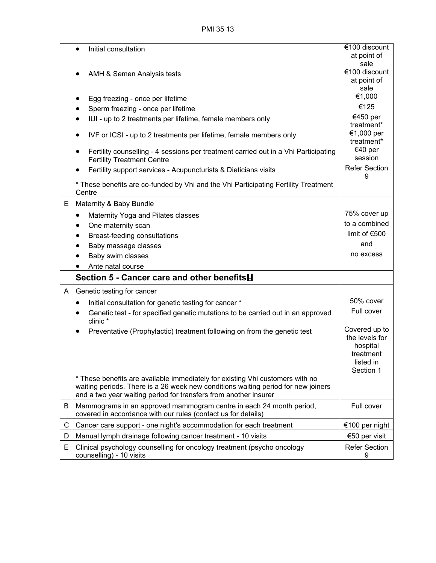PMI 35 13

|   | Initial consultation<br>$\bullet$                                                                                                                                                                                                      | €100 discount                                                                      |
|---|----------------------------------------------------------------------------------------------------------------------------------------------------------------------------------------------------------------------------------------|------------------------------------------------------------------------------------|
|   |                                                                                                                                                                                                                                        | at point of<br>sale                                                                |
|   | AMH & Semen Analysis tests                                                                                                                                                                                                             | €100 discount                                                                      |
|   |                                                                                                                                                                                                                                        | at point of<br>sale                                                                |
|   | Egg freezing - once per lifetime<br>$\bullet$                                                                                                                                                                                          | €1,000                                                                             |
|   | Sperm freezing - once per lifetime<br>٠                                                                                                                                                                                                | €125                                                                               |
|   | IUI - up to 2 treatments per lifetime, female members only<br>$\bullet$                                                                                                                                                                | €450 per<br>treatment*                                                             |
|   | IVF or ICSI - up to 2 treatments per lifetime, female members only<br>٠                                                                                                                                                                | €1,000 per<br>treatment*                                                           |
|   | Fertility counselling - 4 sessions per treatment carried out in a Vhi Participating<br>٠<br><b>Fertility Treatment Centre</b>                                                                                                          | €40 per<br>session                                                                 |
|   | Fertility support services - Acupuncturists & Dieticians visits<br>$\bullet$                                                                                                                                                           | <b>Refer Section</b><br>9                                                          |
|   | * These benefits are co-funded by Vhi and the Vhi Participating Fertility Treatment<br>Centre                                                                                                                                          |                                                                                    |
| E | Maternity & Baby Bundle                                                                                                                                                                                                                |                                                                                    |
|   | Maternity Yoga and Pilates classes<br>$\bullet$                                                                                                                                                                                        | 75% cover up                                                                       |
|   | One maternity scan<br>$\bullet$                                                                                                                                                                                                        | to a combined                                                                      |
|   | Breast-feeding consultations<br>$\bullet$                                                                                                                                                                                              | limit of €500                                                                      |
|   | Baby massage classes<br>$\bullet$                                                                                                                                                                                                      | and                                                                                |
|   | Baby swim classes<br>$\bullet$                                                                                                                                                                                                         | no excess                                                                          |
|   | Ante natal course                                                                                                                                                                                                                      |                                                                                    |
|   | Section 5 - Cancer care and other benefitsH                                                                                                                                                                                            |                                                                                    |
| A | Genetic testing for cancer                                                                                                                                                                                                             |                                                                                    |
|   | Initial consultation for genetic testing for cancer *<br>$\bullet$                                                                                                                                                                     | 50% cover                                                                          |
|   | Genetic test - for specified genetic mutations to be carried out in an approved<br>$\bullet$<br>clinic *                                                                                                                               | Full cover                                                                         |
|   | Preventative (Prophylactic) treatment following on from the genetic test                                                                                                                                                               | Covered up to<br>the levels for<br>hospital<br>treatment<br>listed in<br>Section 1 |
|   | * These benefits are available immediately for existing Vhi customers with no<br>waiting periods. There is a 26 week new conditions waiting period for new joiners<br>and a two year waiting period for transfers from another insurer |                                                                                    |
| B | Mammograms in an approved mammogram centre in each 24 month period,<br>covered in accordance with our rules (contact us for details)                                                                                                   | Full cover                                                                         |
| C | Cancer care support - one night's accommodation for each treatment                                                                                                                                                                     | €100 per night                                                                     |
| D | Manual lymph drainage following cancer treatment - 10 visits                                                                                                                                                                           | €50 per visit                                                                      |
| E | Clinical psychology counselling for oncology treatment (psycho oncology<br>counselling) - 10 visits                                                                                                                                    | <b>Refer Section</b><br>9                                                          |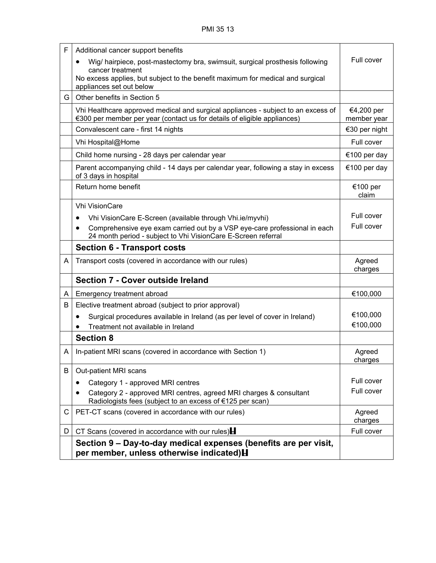| F  | Additional cancer support benefits                                                                                                                            |                           |
|----|---------------------------------------------------------------------------------------------------------------------------------------------------------------|---------------------------|
|    | Wig/ hairpiece, post-mastectomy bra, swimsuit, surgical prosthesis following                                                                                  | Full cover                |
|    | cancer treatment<br>No excess applies, but subject to the benefit maximum for medical and surgical<br>appliances set out below                                |                           |
| G. | Other benefits in Section 5                                                                                                                                   |                           |
|    | Vhi Healthcare approved medical and surgical appliances - subject to an excess of<br>€300 per member per year (contact us for details of eligible appliances) | €4,200 per<br>member year |
|    | Convalescent care - first 14 nights                                                                                                                           | €30 per night             |
|    | Vhi Hospital@Home                                                                                                                                             | Full cover                |
|    | Child home nursing - 28 days per calendar year                                                                                                                | €100 per day              |
|    | Parent accompanying child - 14 days per calendar year, following a stay in excess<br>of 3 days in hospital                                                    | €100 per day              |
|    | Return home benefit                                                                                                                                           | €100 per<br>claim         |
|    | <b>Vhi VisionCare</b>                                                                                                                                         |                           |
|    | Vhi VisionCare E-Screen (available through Vhi.ie/myvhi)                                                                                                      | Full cover                |
|    | Comprehensive eye exam carried out by a VSP eye-care professional in each<br>24 month period - subject to Vhi VisionCare E-Screen referral                    | Full cover                |
|    | <b>Section 6 - Transport costs</b>                                                                                                                            |                           |
| A  | Transport costs (covered in accordance with our rules)                                                                                                        | Agreed<br>charges         |
|    | <b>Section 7 - Cover outside Ireland</b>                                                                                                                      |                           |
| A  | Emergency treatment abroad                                                                                                                                    | €100,000                  |
| B  | Elective treatment abroad (subject to prior approval)                                                                                                         |                           |
|    | Surgical procedures available in Ireland (as per level of cover in Ireland)<br>$\bullet$                                                                      | €100,000                  |
|    | Treatment not available in Ireland                                                                                                                            | €100,000                  |
|    | <b>Section 8</b>                                                                                                                                              |                           |
| A  | In-patient MRI scans (covered in accordance with Section 1)                                                                                                   | Agreed<br>charges         |
| B  | Out-patient MRI scans                                                                                                                                         |                           |
|    | Category 1 - approved MRI centres                                                                                                                             | Full cover                |
|    | Category 2 - approved MRI centres, agreed MRI charges & consultant<br>$\bullet$<br>Radiologists fees (subject to an excess of €125 per scan)                  | Full cover                |
| C. | PET-CT scans (covered in accordance with our rules)                                                                                                           | Agreed<br>charges         |
| D  | CT Scans (covered in accordance with our rules) $\mathbf H$                                                                                                   | Full cover                |
|    | Section 9 – Day-to-day medical expenses (benefits are per visit,<br>per member, unless otherwise indicated) <b>H</b>                                          |                           |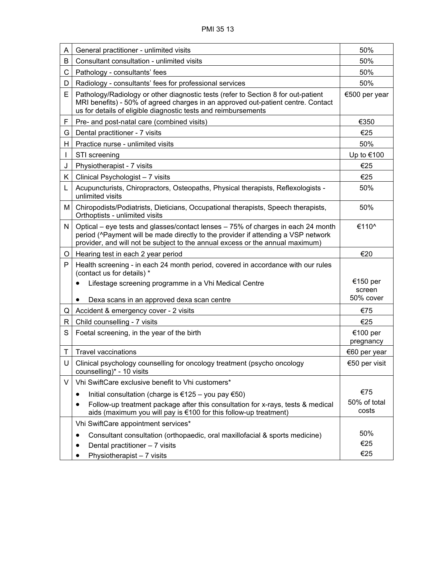| A  | General practitioner - unlimited visits                                                                                                                                                                                                                | 50%                             |
|----|--------------------------------------------------------------------------------------------------------------------------------------------------------------------------------------------------------------------------------------------------------|---------------------------------|
| B  | Consultant consultation - unlimited visits                                                                                                                                                                                                             | 50%                             |
| C  | Pathology - consultants' fees                                                                                                                                                                                                                          | 50%                             |
| D  | Radiology - consultants' fees for professional services                                                                                                                                                                                                | 50%                             |
| E  | Pathology/Radiology or other diagnostic tests (refer to Section 8 for out-patient<br>MRI benefits) - 50% of agreed charges in an approved out-patient centre. Contact<br>us for details of eligible diagnostic tests and reimbursements                | €500 per year                   |
| F  | Pre- and post-natal care (combined visits)                                                                                                                                                                                                             | €350                            |
| G  | Dental practitioner - 7 visits                                                                                                                                                                                                                         | €25                             |
| H. | Practice nurse - unlimited visits                                                                                                                                                                                                                      | 50%                             |
|    | STI screening                                                                                                                                                                                                                                          | Up to €100                      |
| J  | Physiotherapist - 7 visits                                                                                                                                                                                                                             | €25                             |
| K. | Clinical Psychologist - 7 visits                                                                                                                                                                                                                       | €25                             |
| L  | Acupuncturists, Chiropractors, Osteopaths, Physical therapists, Reflexologists -<br>unlimited visits                                                                                                                                                   | 50%                             |
| М  | Chiropodists/Podiatrists, Dieticians, Occupational therapists, Speech therapists,<br>Orthoptists - unlimited visits                                                                                                                                    | 50%                             |
| N  | Optical – eye tests and glasses/contact lenses – 75% of charges in each 24 month<br>period (^Payment will be made directly to the provider if attending a VSP network<br>provider, and will not be subject to the annual excess or the annual maximum) | €110^                           |
| O  | Hearing test in each 2 year period                                                                                                                                                                                                                     | €20                             |
| P  | Health screening - in each 24 month period, covered in accordance with our rules<br>(contact us for details) *                                                                                                                                         |                                 |
|    | Lifestage screening programme in a Vhi Medical Centre                                                                                                                                                                                                  | €150 per<br>screen<br>50% cover |
|    | Dexa scans in an approved dexa scan centre                                                                                                                                                                                                             |                                 |
| Q  | Accident & emergency cover - 2 visits                                                                                                                                                                                                                  | €75                             |
| R. | Child counselling - 7 visits                                                                                                                                                                                                                           | €25                             |
| S  | Foetal screening, in the year of the birth                                                                                                                                                                                                             | €100 per<br>pregnancy           |
| Т  | <b>Travel vaccinations</b>                                                                                                                                                                                                                             | €60 per year                    |
| U  | Clinical psychology counselling for oncology treatment (psycho oncology<br>counselling)* - 10 visits                                                                                                                                                   | €50 per visit                   |
| V  | Vhi SwiftCare exclusive benefit to Vhi customers*                                                                                                                                                                                                      |                                 |
|    | Initial consultation (charge is €125 - you pay €50)<br>٠                                                                                                                                                                                               | €75                             |
|    | Follow-up treatment package after this consultation for x-rays, tests & medical<br>٠<br>aids (maximum you will pay is €100 for this follow-up treatment)                                                                                               | 50% of total<br>costs           |
|    | Vhi SwiftCare appointment services*                                                                                                                                                                                                                    |                                 |
|    | Consultant consultation (orthopaedic, oral maxillofacial & sports medicine)<br>Dental practitioner - 7 visits<br>Physiotherapist - 7 visits                                                                                                            | 50%<br>€25<br>€25               |